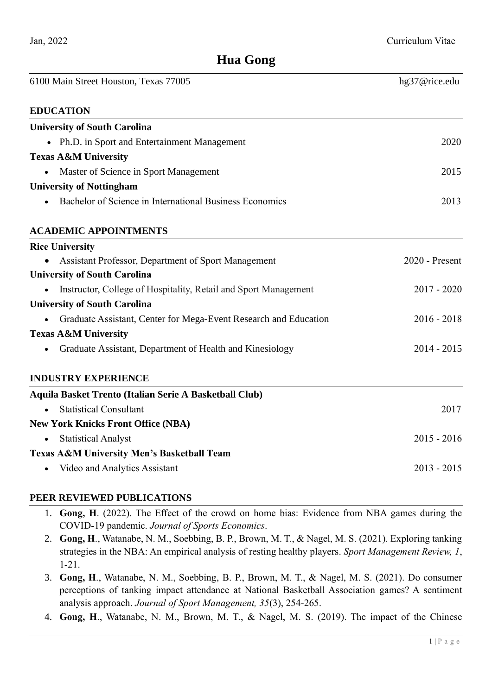# **Hua Gong**

| 6100 Main Street Houston, Texas 77005                            | hg37@rice.edu  |
|------------------------------------------------------------------|----------------|
| <b>EDUCATION</b>                                                 |                |
| <b>University of South Carolina</b>                              |                |
| • Ph.D. in Sport and Entertainment Management                    | 2020           |
| <b>Texas A&amp;M University</b>                                  |                |
| Master of Science in Sport Management                            | 2015           |
| <b>University of Nottingham</b>                                  |                |
| Bachelor of Science in International Business Economics          | 2013           |
| <b>ACADEMIC APPOINTMENTS</b>                                     |                |
| <b>Rice University</b>                                           |                |
| Assistant Professor, Department of Sport Management              | 2020 - Present |
| <b>University of South Carolina</b>                              |                |
| Instructor, College of Hospitality, Retail and Sport Management  | $2017 - 2020$  |
| <b>University of South Carolina</b>                              |                |
| Graduate Assistant, Center for Mega-Event Research and Education | $2016 - 2018$  |
| <b>Texas A&amp;M University</b>                                  |                |
| Graduate Assistant, Department of Health and Kinesiology         | $2014 - 2015$  |
| <b>INDUSTRY EXPERIENCE</b>                                       |                |
| Aquila Basket Trento (Italian Serie A Basketball Club)           |                |
| <b>Statistical Consultant</b>                                    | 2017           |
| <b>New York Knicks Front Office (NBA)</b>                        |                |
| <b>Statistical Analyst</b>                                       | $2015 - 2016$  |
| <b>Texas A&amp;M University Men's Basketball Team</b>            |                |
| Video and Analytics Assistant                                    | $2013 - 2015$  |
|                                                                  |                |

# **PEER REVIEWED PUBLICATIONS**

- 1. **Gong, H**. (2022). The Effect of the crowd on home bias: Evidence from NBA games during the COVID-19 pandemic. *Journal of Sports Economics*.
- 2. **Gong, H**., Watanabe, N. M., Soebbing, B. P., Brown, M. T., & Nagel, M. S. (2021). Exploring tanking strategies in the NBA: An empirical analysis of resting healthy players. *Sport Management Review, 1*, 1-21.
- 3. **Gong, H**., Watanabe, N. M., Soebbing, B. P., Brown, M. T., & Nagel, M. S. (2021). Do consumer perceptions of tanking impact attendance at National Basketball Association games? A sentiment analysis approach. *Journal of Sport Management, 35*(3), 254-265.
- 4. **Gong, H**., Watanabe, N. M., Brown, M. T., & Nagel, M. S. (2019). The impact of the Chinese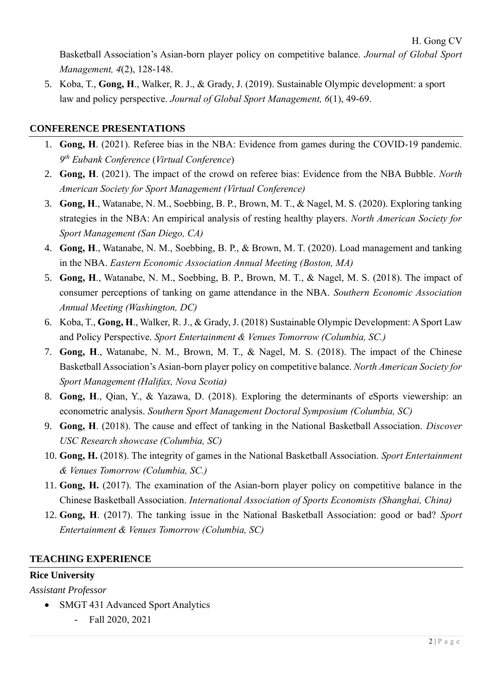Basketball Association's Asian-born player policy on competitive balance. *Journal of Global Sport Management, 4*(2), 128-148.

5. Koba, T., **Gong, H**., Walker, R. J., & Grady, J. (2019). Sustainable Olympic development: a sport law and policy perspective. *Journal of Global Sport Management, 6*(1), 49-69.

### **CONFERENCE PRESENTATIONS**

- 1. **Gong, H**. (2021). Referee bias in the NBA: Evidence from games during the COVID-19 pandemic. *9 th Eubank Conference* (*Virtual Conference*)
- 2. **Gong, H**. (2021). The impact of the crowd on referee bias: Evidence from the NBA Bubble. *North American Society for Sport Management (Virtual Conference)*
- 3. **Gong, H**., Watanabe, N. M., Soebbing, B. P., Brown, M. T., & Nagel, M. S. (2020). Exploring tanking strategies in the NBA: An empirical analysis of resting healthy players. *North American Society for Sport Management (San Diego, CA)*
- 4. **Gong, H**., Watanabe, N. M., Soebbing, B. P., & Brown, M. T. (2020). Load management and tanking in the NBA. *Eastern Economic Association Annual Meeting (Boston, MA)*
- 5. **Gong, H**., Watanabe, N. M., Soebbing, B. P., Brown, M. T., & Nagel, M. S. (2018). The impact of consumer perceptions of tanking on game attendance in the NBA. *Southern Economic Association Annual Meeting (Washington, DC)*
- 6. Koba, T., **Gong, H**., Walker, R. J., & Grady, J. (2018) Sustainable Olympic Development: A Sport Law and Policy Perspective. *Sport Entertainment & Venues Tomorrow (Columbia, SC.)*
- 7. **Gong, H**., Watanabe, N. M., Brown, M. T., & Nagel, M. S. (2018). The impact of the Chinese Basketball Association's Asian-born player policy on competitive balance. *North American Society for Sport Management (Halifax, Nova Scotia)*
- 8. **Gong, H**., Qian, Y., & Yazawa, D. (2018). Exploring the determinants of eSports viewership: an econometric analysis. *Southern Sport Management Doctoral Symposium (Columbia, SC)*
- 9. **Gong, H**. (2018). The cause and effect of tanking in the National Basketball Association. *Discover USC Research showcase (Columbia, SC)*
- 10. **Gong, H.** (2018). The integrity of games in the National Basketball Association. *Sport Entertainment & Venues Tomorrow (Columbia, SC.)*
- 11. **Gong, H.** (2017). The examination of the Asian-born player policy on competitive balance in the Chinese Basketball Association. *International Association of Sports Economists (Shanghai, China)*
- 12. **Gong, H**. (2017). The tanking issue in the National Basketball Association: good or bad? *Sport Entertainment & Venues Tomorrow (Columbia, SC)*

#### **TEACHING EXPERIENCE**

### **Rice University**

*Assistant Professor*

- SMGT 431 Advanced Sport Analytics
	- Fall 2020, 2021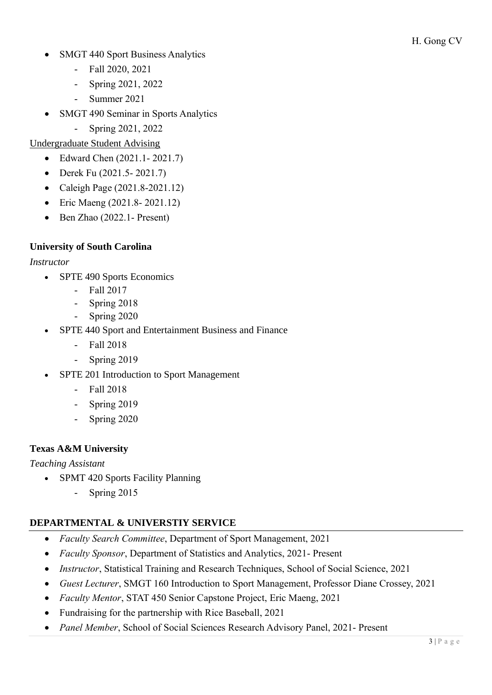- SMGT 440 Sport Business Analytics
	- Fall 2020, 2021
	- Spring 2021, 2022
	- Summer 2021
- SMGT 490 Seminar in Sports Analytics
	- Spring 2021, 2022

# Undergraduate Student Advising

- Edward Chen (2021.1- 2021.7)
- Derek Fu (2021.5- 2021.7)
- Caleigh Page (2021.8-2021.12)
- Eric Maeng (2021.8- 2021.12)
- Ben Zhao (2022.1- Present)

# **University of South Carolina**

### *Instructor*

- SPTE 490 Sports Economics
	- Fall 2017
	- Spring 2018
	- Spring 2020
- SPTE 440 Sport and Entertainment Business and Finance
	- Fall 2018
	- Spring 2019
- SPTE 201 Introduction to Sport Management
	- Fall 2018
	- Spring 2019
	- Spring 2020

# **Texas A&M University**

#### *Teaching Assistant*

- SPMT 420 Sports Facility Planning
	- Spring 2015

# **DEPARTMENTAL & UNIVERSTIY SERVICE**

- *Faculty Search Committee*, Department of Sport Management, 2021
- *Faculty Sponsor*, Department of Statistics and Analytics, 2021- Present
- *Instructor*, Statistical Training and Research Techniques, School of Social Science, 2021
- *Guest Lecturer*, SMGT 160 Introduction to Sport Management, Professor Diane Crossey, 2021
- *Faculty Mentor*, STAT 450 Senior Capstone Project, Eric Maeng, 2021
- Fundraising for the partnership with Rice Baseball, 2021
- *Panel Member*, School of Social Sciences Research Advisory Panel, 2021- Present